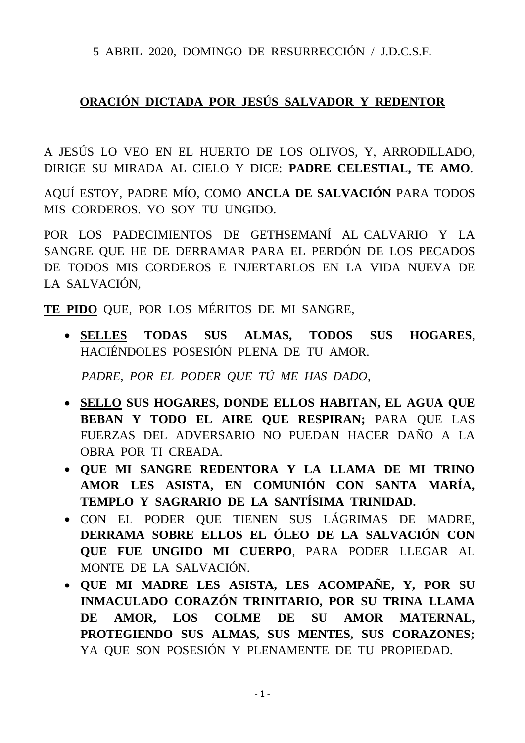5 ABRIL 2020, DOMINGO DE RESURRECCIÓN / J.D.C.S.F.

## **ORACIÓN DICTADA POR JESÚS SALVADOR Y REDENTOR**

A JESÚS LO VEO EN EL HUERTO DE LOS OLIVOS, Y, ARRODILLADO, DIRIGE SU MIRADA AL CIELO Y DICE: **PADRE CELESTIAL, TE AMO**.

AQUÍ ESTOY, PADRE MÍO, COMO **ANCLA DE SALVACIÓN** PARA TODOS MIS CORDEROS. YO SOY TU UNGIDO.

POR LOS PADECIMIENTOS DE GETHSEMANÍ AL CALVARIO Y LA SANGRE QUE HE DE DERRAMAR PARA EL PERDÓN DE LOS PECADOS DE TODOS MIS CORDEROS E INJERTARLOS EN LA VIDA NUEVA DE LA SALVACIÓN,

**TE PIDO** QUE, POR LOS MÉRITOS DE MI SANGRE,

• **SELLES TODAS SUS ALMAS, TODOS SUS HOGARES**, HACIÉNDOLES POSESIÓN PLENA DE TU AMOR.

*PADRE, POR EL PODER QUE TÚ ME HAS DADO*,

- **SELLO SUS HOGARES, DONDE ELLOS HABITAN, EL AGUA QUE BEBAN Y TODO EL AIRE QUE RESPIRAN;** PARA QUE LAS FUERZAS DEL ADVERSARIO NO PUEDAN HACER DAÑO A LA OBRA POR TI CREADA.
- **QUE MI SANGRE REDENTORA Y LA LLAMA DE MI TRINO AMOR LES ASISTA, EN COMUNIÓN CON SANTA MARÍA, TEMPLO Y SAGRARIO DE LA SANTÍSIMA TRINIDAD.**
- CON EL PODER QUE TIENEN SUS LÁGRIMAS DE MADRE, **DERRAMA SOBRE ELLOS EL ÓLEO DE LA SALVACIÓN CON QUE FUE UNGIDO MI CUERPO**, PARA PODER LLEGAR AL MONTE DE LA SALVACIÓN.
- **QUE MI MADRE LES ASISTA, LES ACOMPAÑE, Y, POR SU INMACULADO CORAZÓN TRINITARIO, POR SU TRINA LLAMA DE AMOR, LOS COLME DE SU AMOR MATERNAL, PROTEGIENDO SUS ALMAS, SUS MENTES, SUS CORAZONES;** YA QUE SON POSESIÓN Y PLENAMENTE DE TU PROPIEDAD.